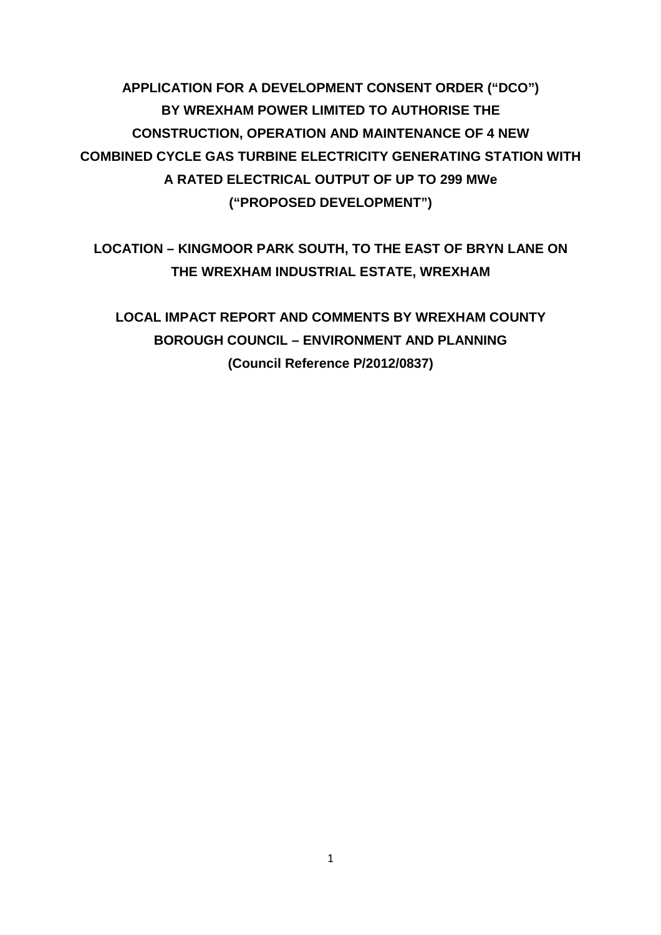**APPLICATION FOR A DEVELOPMENT CONSENT ORDER ("DCO") BY WREXHAM POWER LIMITED TO AUTHORISE THE CONSTRUCTION, OPERATION AND MAINTENANCE OF 4 NEW COMBINED CYCLE GAS TURBINE ELECTRICITY GENERATING STATION WITH A RATED ELECTRICAL OUTPUT OF UP TO 299 MWe ("PROPOSED DEVELOPMENT")** 

**LOCATION – KINGMOOR PARK SOUTH, TO THE EAST OF BRYN LANE ON THE WREXHAM INDUSTRIAL ESTATE, WREXHAM** 

**LOCAL IMPACT REPORT AND COMMENTS BY WREXHAM COUNTY BOROUGH COUNCIL – ENVIRONMENT AND PLANNING (Council Reference P/2012/0837)**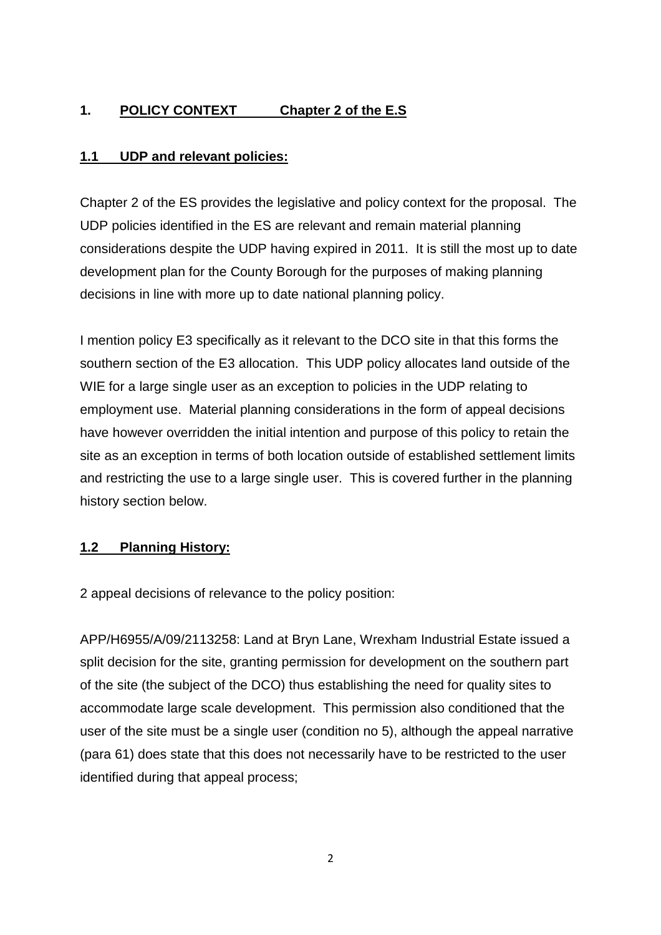# **1. POLICY CONTEXT Chapter 2 of the E.S**

#### **1.1 UDP and relevant policies:**

Chapter 2 of the ES provides the legislative and policy context for the proposal. The UDP policies identified in the ES are relevant and remain material planning considerations despite the UDP having expired in 2011. It is still the most up to date development plan for the County Borough for the purposes of making planning decisions in line with more up to date national planning policy.

I mention policy E3 specifically as it relevant to the DCO site in that this forms the southern section of the E3 allocation. This UDP policy allocates land outside of the WIE for a large single user as an exception to policies in the UDP relating to employment use. Material planning considerations in the form of appeal decisions have however overridden the initial intention and purpose of this policy to retain the site as an exception in terms of both location outside of established settlement limits and restricting the use to a large single user. This is covered further in the planning history section below.

#### **1.2 Planning History:**

2 appeal decisions of relevance to the policy position:

APP/H6955/A/09/2113258: Land at Bryn Lane, Wrexham Industrial Estate issued a split decision for the site, granting permission for development on the southern part of the site (the subject of the DCO) thus establishing the need for quality sites to accommodate large scale development. This permission also conditioned that the user of the site must be a single user (condition no 5), although the appeal narrative (para 61) does state that this does not necessarily have to be restricted to the user identified during that appeal process;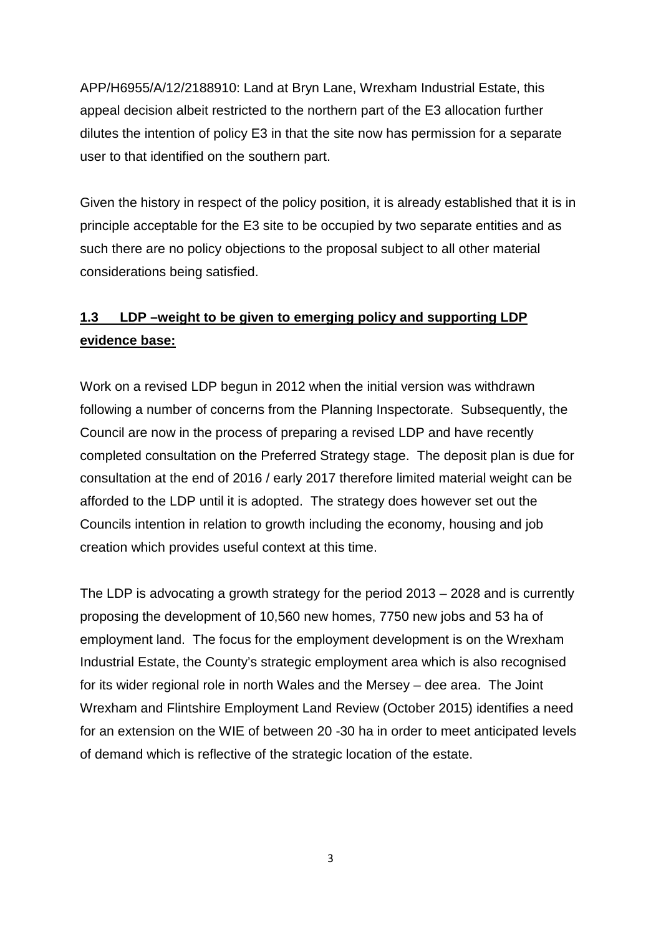APP/H6955/A/12/2188910: Land at Bryn Lane, Wrexham Industrial Estate, this appeal decision albeit restricted to the northern part of the E3 allocation further dilutes the intention of policy E3 in that the site now has permission for a separate user to that identified on the southern part.

Given the history in respect of the policy position, it is already established that it is in principle acceptable for the E3 site to be occupied by two separate entities and as such there are no policy objections to the proposal subject to all other material considerations being satisfied.

# **1.3 LDP –weight to be given to emerging policy and supporting LDP evidence base:**

Work on a revised LDP begun in 2012 when the initial version was withdrawn following a number of concerns from the Planning Inspectorate. Subsequently, the Council are now in the process of preparing a revised LDP and have recently completed consultation on the Preferred Strategy stage. The deposit plan is due for consultation at the end of 2016 / early 2017 therefore limited material weight can be afforded to the LDP until it is adopted. The strategy does however set out the Councils intention in relation to growth including the economy, housing and job creation which provides useful context at this time.

The LDP is advocating a growth strategy for the period 2013 – 2028 and is currently proposing the development of 10,560 new homes, 7750 new jobs and 53 ha of employment land. The focus for the employment development is on the Wrexham Industrial Estate, the County's strategic employment area which is also recognised for its wider regional role in north Wales and the Mersey – dee area. The Joint Wrexham and Flintshire Employment Land Review (October 2015) identifies a need for an extension on the WIE of between 20 -30 ha in order to meet anticipated levels of demand which is reflective of the strategic location of the estate.

3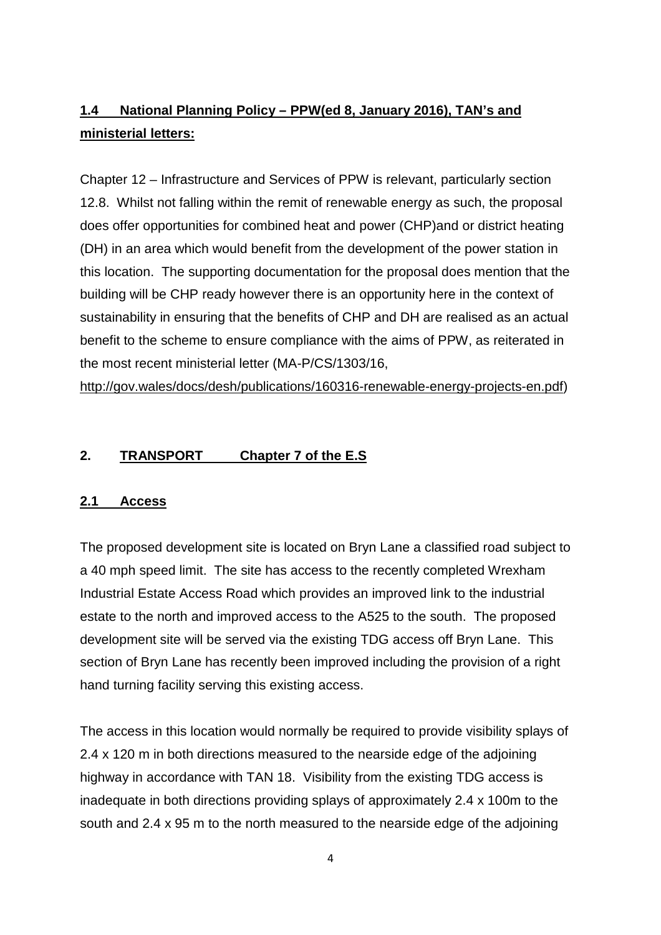# **1.4 National Planning Policy – PPW(ed 8, January 2016), TAN's and ministerial letters:**

Chapter 12 – Infrastructure and Services of PPW is relevant, particularly section 12.8. Whilst not falling within the remit of renewable energy as such, the proposal does offer opportunities for combined heat and power (CHP)and or district heating (DH) in an area which would benefit from the development of the power station in this location. The supporting documentation for the proposal does mention that the building will be CHP ready however there is an opportunity here in the context of sustainability in ensuring that the benefits of CHP and DH are realised as an actual benefit to the scheme to ensure compliance with the aims of PPW, as reiterated in the most recent ministerial letter (MA-P/CS/1303/16,

http://gov.wales/docs/desh/publications/160316-renewable-energy-projects-en.pdf)

## **2. TRANSPORT Chapter 7 of the E.S**

#### **2.1 Access**

The proposed development site is located on Bryn Lane a classified road subject to a 40 mph speed limit. The site has access to the recently completed Wrexham Industrial Estate Access Road which provides an improved link to the industrial estate to the north and improved access to the A525 to the south. The proposed development site will be served via the existing TDG access off Bryn Lane. This section of Bryn Lane has recently been improved including the provision of a right hand turning facility serving this existing access.

The access in this location would normally be required to provide visibility splays of 2.4 x 120 m in both directions measured to the nearside edge of the adjoining highway in accordance with TAN 18. Visibility from the existing TDG access is inadequate in both directions providing splays of approximately 2.4 x 100m to the south and 2.4 x 95 m to the north measured to the nearside edge of the adjoining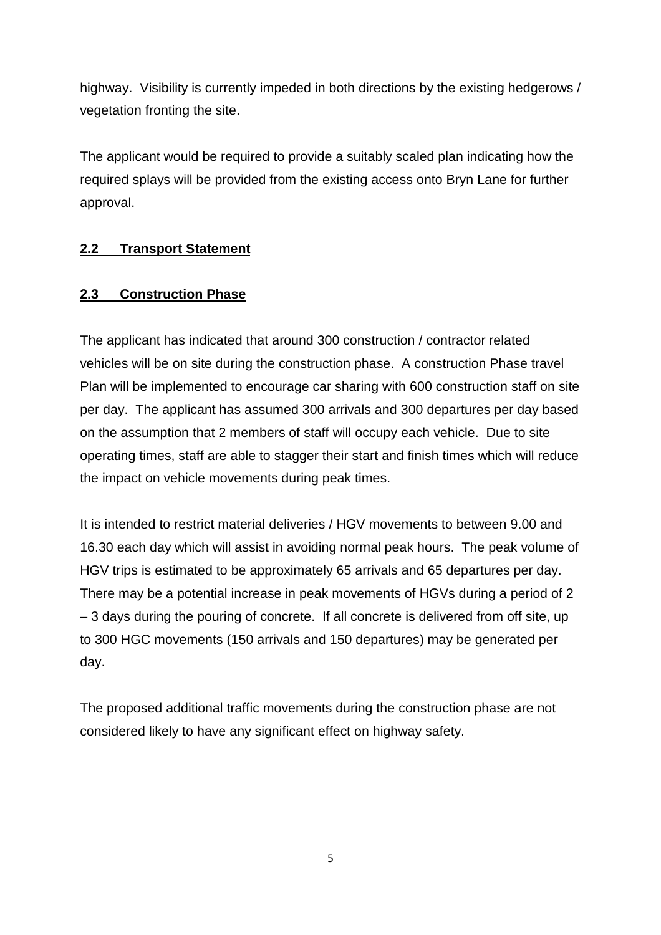highway. Visibility is currently impeded in both directions by the existing hedgerows / vegetation fronting the site.

The applicant would be required to provide a suitably scaled plan indicating how the required splays will be provided from the existing access onto Bryn Lane for further approval.

## **2.2 Transport Statement**

## **2.3 Construction Phase**

The applicant has indicated that around 300 construction / contractor related vehicles will be on site during the construction phase. A construction Phase travel Plan will be implemented to encourage car sharing with 600 construction staff on site per day. The applicant has assumed 300 arrivals and 300 departures per day based on the assumption that 2 members of staff will occupy each vehicle. Due to site operating times, staff are able to stagger their start and finish times which will reduce the impact on vehicle movements during peak times.

It is intended to restrict material deliveries / HGV movements to between 9.00 and 16.30 each day which will assist in avoiding normal peak hours. The peak volume of HGV trips is estimated to be approximately 65 arrivals and 65 departures per day. There may be a potential increase in peak movements of HGVs during a period of 2 – 3 days during the pouring of concrete. If all concrete is delivered from off site, up to 300 HGC movements (150 arrivals and 150 departures) may be generated per day.

The proposed additional traffic movements during the construction phase are not considered likely to have any significant effect on highway safety.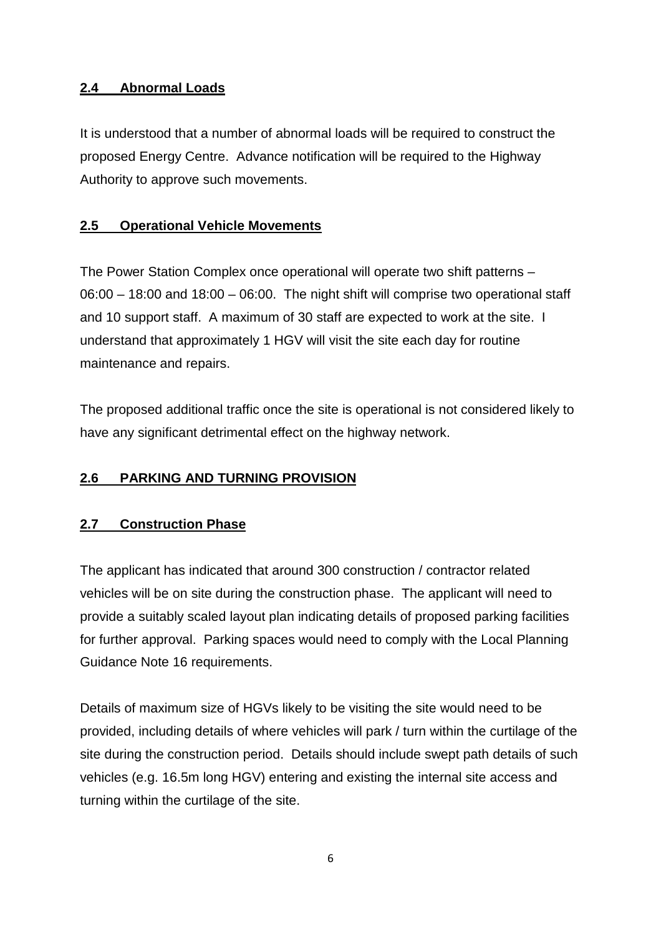## **2.4 Abnormal Loads**

It is understood that a number of abnormal loads will be required to construct the proposed Energy Centre. Advance notification will be required to the Highway Authority to approve such movements.

## **2.5 Operational Vehicle Movements**

The Power Station Complex once operational will operate two shift patterns – 06:00 – 18:00 and 18:00 – 06:00. The night shift will comprise two operational staff and 10 support staff. A maximum of 30 staff are expected to work at the site. I understand that approximately 1 HGV will visit the site each day for routine maintenance and repairs.

The proposed additional traffic once the site is operational is not considered likely to have any significant detrimental effect on the highway network.

## **2.6 PARKING AND TURNING PROVISION**

## **2.7 Construction Phase**

The applicant has indicated that around 300 construction / contractor related vehicles will be on site during the construction phase. The applicant will need to provide a suitably scaled layout plan indicating details of proposed parking facilities for further approval. Parking spaces would need to comply with the Local Planning Guidance Note 16 requirements.

Details of maximum size of HGVs likely to be visiting the site would need to be provided, including details of where vehicles will park / turn within the curtilage of the site during the construction period. Details should include swept path details of such vehicles (e.g. 16.5m long HGV) entering and existing the internal site access and turning within the curtilage of the site.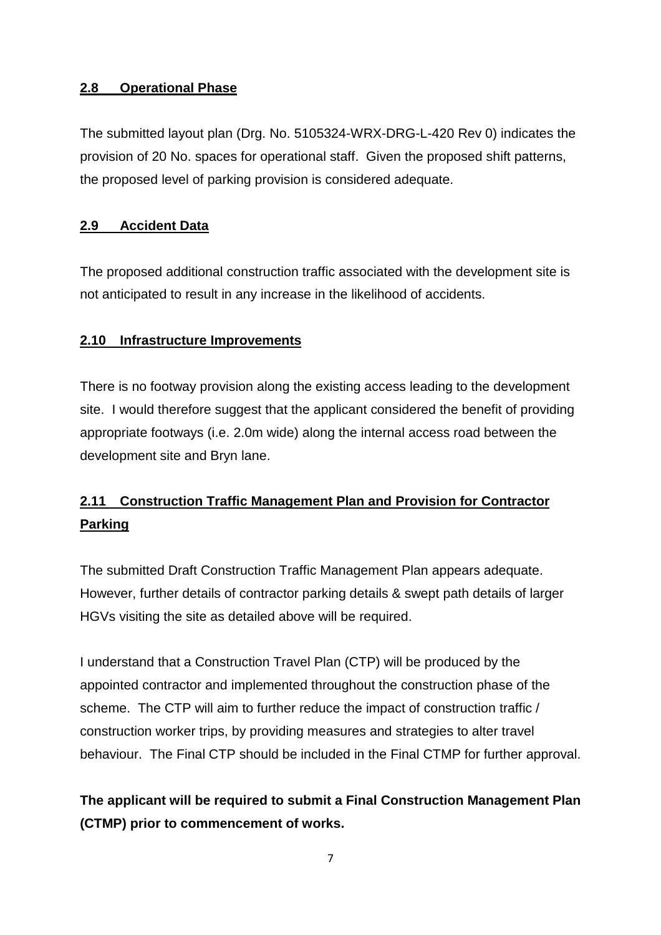#### **2.8 Operational Phase**

The submitted layout plan (Drg. No. 5105324-WRX-DRG-L-420 Rev 0) indicates the provision of 20 No. spaces for operational staff. Given the proposed shift patterns, the proposed level of parking provision is considered adequate.

#### **2.9 Accident Data**

The proposed additional construction traffic associated with the development site is not anticipated to result in any increase in the likelihood of accidents.

## **2.10 Infrastructure Improvements**

There is no footway provision along the existing access leading to the development site. I would therefore suggest that the applicant considered the benefit of providing appropriate footways (i.e. 2.0m wide) along the internal access road between the development site and Bryn lane.

# **2.11 Construction Traffic Management Plan and Provision for Contractor Parking**

The submitted Draft Construction Traffic Management Plan appears adequate. However, further details of contractor parking details & swept path details of larger HGVs visiting the site as detailed above will be required.

I understand that a Construction Travel Plan (CTP) will be produced by the appointed contractor and implemented throughout the construction phase of the scheme. The CTP will aim to further reduce the impact of construction traffic / construction worker trips, by providing measures and strategies to alter travel behaviour. The Final CTP should be included in the Final CTMP for further approval.

**The applicant will be required to submit a Final Construction Management Plan (CTMP) prior to commencement of works.**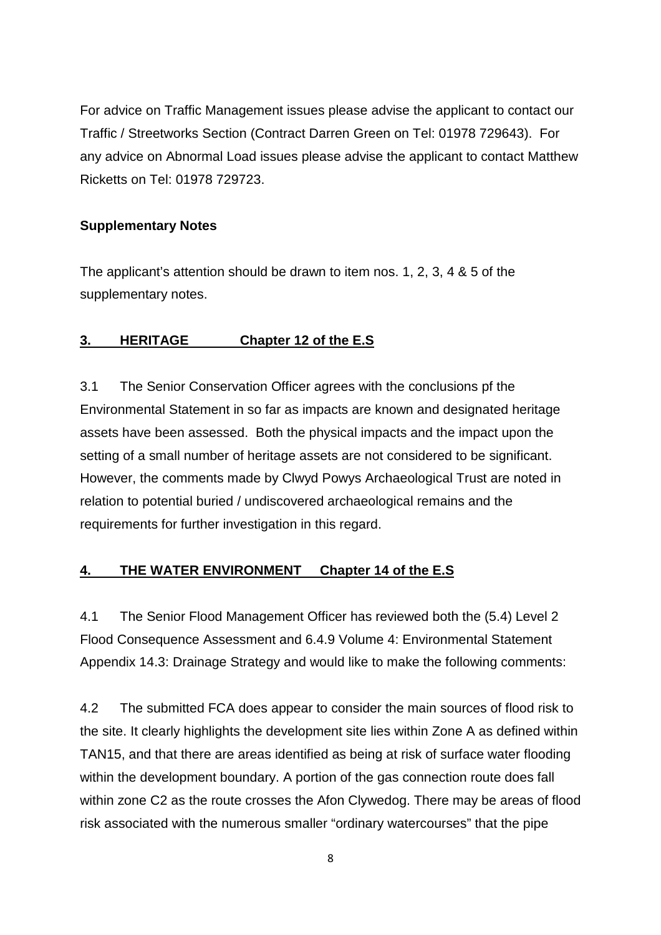For advice on Traffic Management issues please advise the applicant to contact our Traffic / Streetworks Section (Contract Darren Green on Tel: 01978 729643). For any advice on Abnormal Load issues please advise the applicant to contact Matthew Ricketts on Tel: 01978 729723.

# **Supplementary Notes**

The applicant's attention should be drawn to item nos. 1, 2, 3, 4 & 5 of the supplementary notes.

# **3. HERITAGE Chapter 12 of the E.S**

3.1 The Senior Conservation Officer agrees with the conclusions pf the Environmental Statement in so far as impacts are known and designated heritage assets have been assessed. Both the physical impacts and the impact upon the setting of a small number of heritage assets are not considered to be significant. However, the comments made by Clwyd Powys Archaeological Trust are noted in relation to potential buried / undiscovered archaeological remains and the requirements for further investigation in this regard.

# **4. THE WATER ENVIRONMENT Chapter 14 of the E.S**

4.1 The Senior Flood Management Officer has reviewed both the (5.4) Level 2 Flood Consequence Assessment and 6.4.9 Volume 4: Environmental Statement Appendix 14.3: Drainage Strategy and would like to make the following comments:

4.2 The submitted FCA does appear to consider the main sources of flood risk to the site. It clearly highlights the development site lies within Zone A as defined within TAN15, and that there are areas identified as being at risk of surface water flooding within the development boundary. A portion of the gas connection route does fall within zone C2 as the route crosses the Afon Clywedog. There may be areas of flood risk associated with the numerous smaller "ordinary watercourses" that the pipe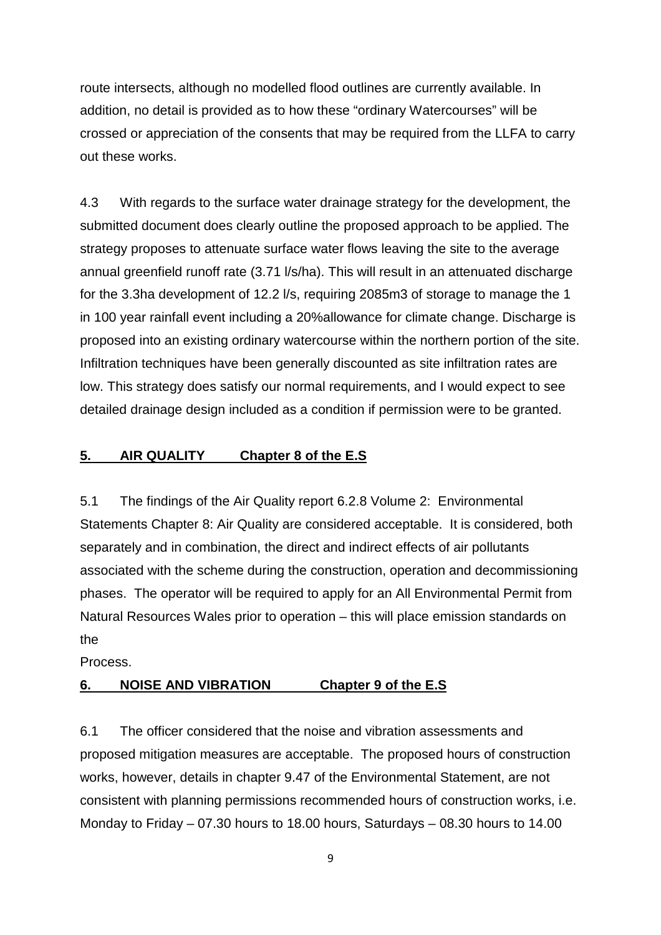route intersects, although no modelled flood outlines are currently available. In addition, no detail is provided as to how these "ordinary Watercourses" will be crossed or appreciation of the consents that may be required from the LLFA to carry out these works.

4.3 With regards to the surface water drainage strategy for the development, the submitted document does clearly outline the proposed approach to be applied. The strategy proposes to attenuate surface water flows leaving the site to the average annual greenfield runoff rate (3.71 l/s/ha). This will result in an attenuated discharge for the 3.3ha development of 12.2 l/s, requiring 2085m3 of storage to manage the 1 in 100 year rainfall event including a 20%allowance for climate change. Discharge is proposed into an existing ordinary watercourse within the northern portion of the site. Infiltration techniques have been generally discounted as site infiltration rates are low. This strategy does satisfy our normal requirements, and I would expect to see detailed drainage design included as a condition if permission were to be granted.

#### **5. AIR QUALITY Chapter 8 of the E.S**

5.1 The findings of the Air Quality report 6.2.8 Volume 2: Environmental Statements Chapter 8: Air Quality are considered acceptable. It is considered, both separately and in combination, the direct and indirect effects of air pollutants associated with the scheme during the construction, operation and decommissioning phases. The operator will be required to apply for an All Environmental Permit from Natural Resources Wales prior to operation – this will place emission standards on the

Process.

#### **6. NOISE AND VIBRATION Chapter 9 of the E.S**

6.1 The officer considered that the noise and vibration assessments and proposed mitigation measures are acceptable. The proposed hours of construction works, however, details in chapter 9.47 of the Environmental Statement, are not consistent with planning permissions recommended hours of construction works, i.e. Monday to Friday – 07.30 hours to 18.00 hours, Saturdays – 08.30 hours to 14.00

9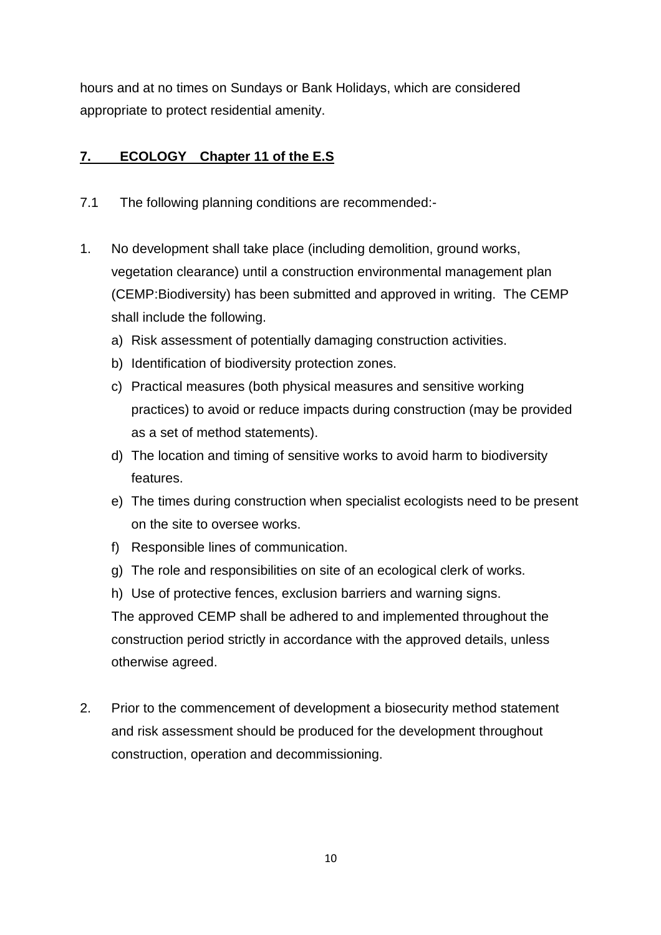hours and at no times on Sundays or Bank Holidays, which are considered appropriate to protect residential amenity.

# **7. ECOLOGY Chapter 11 of the E.S**

- 7.1 The following planning conditions are recommended:-
- 1. No development shall take place (including demolition, ground works, vegetation clearance) until a construction environmental management plan (CEMP:Biodiversity) has been submitted and approved in writing. The CEMP shall include the following.
	- a) Risk assessment of potentially damaging construction activities.
	- b) Identification of biodiversity protection zones.
	- c) Practical measures (both physical measures and sensitive working practices) to avoid or reduce impacts during construction (may be provided as a set of method statements).
	- d) The location and timing of sensitive works to avoid harm to biodiversity features.
	- e) The times during construction when specialist ecologists need to be present on the site to oversee works.
	- f) Responsible lines of communication.
	- g) The role and responsibilities on site of an ecological clerk of works.
	- h) Use of protective fences, exclusion barriers and warning signs.

The approved CEMP shall be adhered to and implemented throughout the construction period strictly in accordance with the approved details, unless otherwise agreed.

2. Prior to the commencement of development a biosecurity method statement and risk assessment should be produced for the development throughout construction, operation and decommissioning.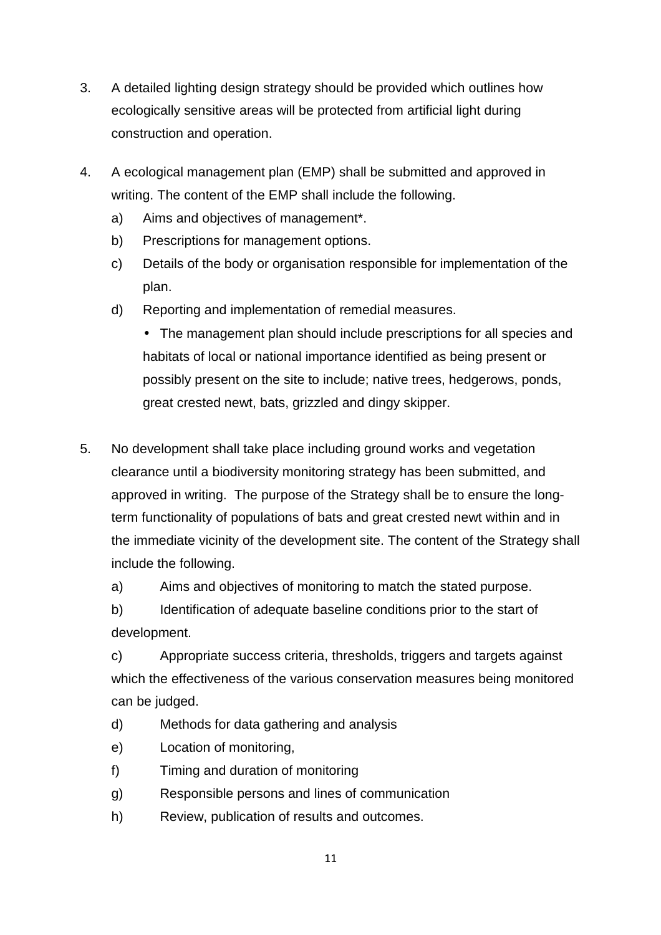- 3. A detailed lighting design strategy should be provided which outlines how ecologically sensitive areas will be protected from artificial light during construction and operation.
- 4. A ecological management plan (EMP) shall be submitted and approved in writing. The content of the EMP shall include the following.
	- a) Aims and objectives of management\*.
	- b) Prescriptions for management options.
	- c) Details of the body or organisation responsible for implementation of the plan.
	- d) Reporting and implementation of remedial measures.
		- The management plan should include prescriptions for all species and habitats of local or national importance identified as being present or possibly present on the site to include; native trees, hedgerows, ponds, great crested newt, bats, grizzled and dingy skipper.
- 5. No development shall take place including ground works and vegetation clearance until a biodiversity monitoring strategy has been submitted, and approved in writing. The purpose of the Strategy shall be to ensure the longterm functionality of populations of bats and great crested newt within and in the immediate vicinity of the development site. The content of the Strategy shall include the following.
	- a) Aims and objectives of monitoring to match the stated purpose.

b) Identification of adequate baseline conditions prior to the start of development.

c) Appropriate success criteria, thresholds, triggers and targets against which the effectiveness of the various conservation measures being monitored can be judged.

- d) Methods for data gathering and analysis
- e) Location of monitoring,
- f) Timing and duration of monitoring
- g) Responsible persons and lines of communication
- h) Review, publication of results and outcomes.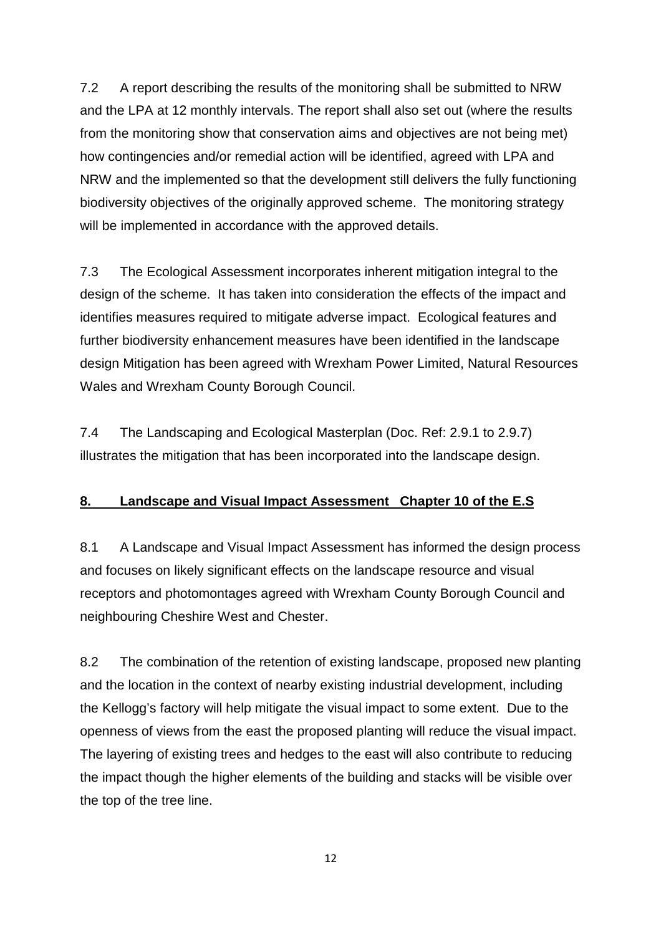7.2 A report describing the results of the monitoring shall be submitted to NRW and the LPA at 12 monthly intervals. The report shall also set out (where the results from the monitoring show that conservation aims and objectives are not being met) how contingencies and/or remedial action will be identified, agreed with LPA and NRW and the implemented so that the development still delivers the fully functioning biodiversity objectives of the originally approved scheme. The monitoring strategy will be implemented in accordance with the approved details.

7.3 The Ecological Assessment incorporates inherent mitigation integral to the design of the scheme. It has taken into consideration the effects of the impact and identifies measures required to mitigate adverse impact. Ecological features and further biodiversity enhancement measures have been identified in the landscape design Mitigation has been agreed with Wrexham Power Limited, Natural Resources Wales and Wrexham County Borough Council.

7.4 The Landscaping and Ecological Masterplan (Doc. Ref: 2.9.1 to 2.9.7) illustrates the mitigation that has been incorporated into the landscape design.

## **8. Landscape and Visual Impact Assessment Chapter 10 of the E.S**

8.1 A Landscape and Visual Impact Assessment has informed the design process and focuses on likely significant effects on the landscape resource and visual receptors and photomontages agreed with Wrexham County Borough Council and neighbouring Cheshire West and Chester.

8.2 The combination of the retention of existing landscape, proposed new planting and the location in the context of nearby existing industrial development, including the Kellogg's factory will help mitigate the visual impact to some extent. Due to the openness of views from the east the proposed planting will reduce the visual impact. The layering of existing trees and hedges to the east will also contribute to reducing the impact though the higher elements of the building and stacks will be visible over the top of the tree line.

12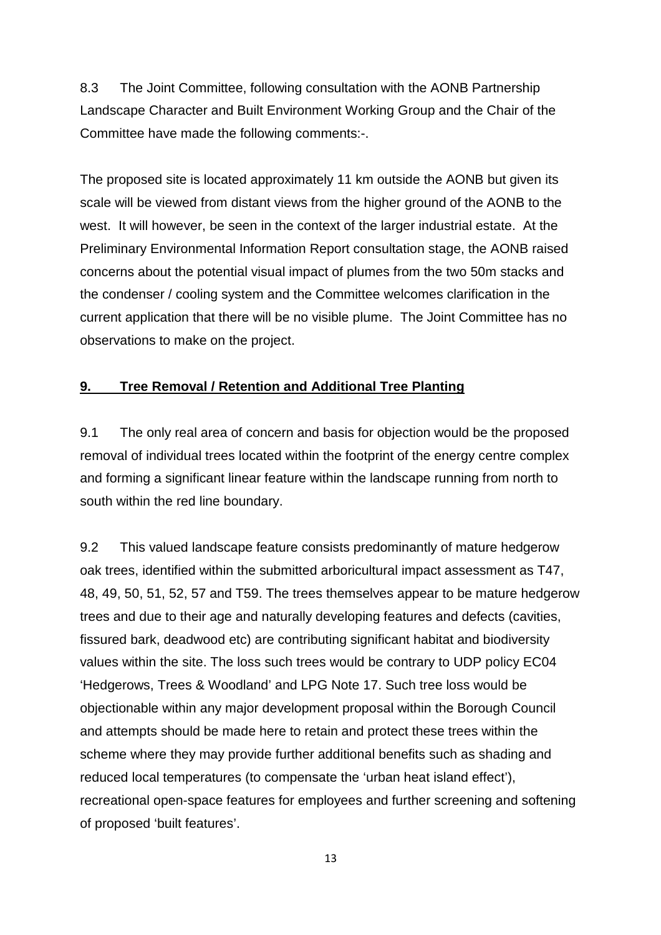8.3 The Joint Committee, following consultation with the AONB Partnership Landscape Character and Built Environment Working Group and the Chair of the Committee have made the following comments:-.

The proposed site is located approximately 11 km outside the AONB but given its scale will be viewed from distant views from the higher ground of the AONB to the west. It will however, be seen in the context of the larger industrial estate. At the Preliminary Environmental Information Report consultation stage, the AONB raised concerns about the potential visual impact of plumes from the two 50m stacks and the condenser / cooling system and the Committee welcomes clarification in the current application that there will be no visible plume. The Joint Committee has no observations to make on the project.

#### **9. Tree Removal / Retention and Additional Tree Planting**

9.1 The only real area of concern and basis for objection would be the proposed removal of individual trees located within the footprint of the energy centre complex and forming a significant linear feature within the landscape running from north to south within the red line boundary.

9.2 This valued landscape feature consists predominantly of mature hedgerow oak trees, identified within the submitted arboricultural impact assessment as T47, 48, 49, 50, 51, 52, 57 and T59. The trees themselves appear to be mature hedgerow trees and due to their age and naturally developing features and defects (cavities, fissured bark, deadwood etc) are contributing significant habitat and biodiversity values within the site. The loss such trees would be contrary to UDP policy EC04 'Hedgerows, Trees & Woodland' and LPG Note 17. Such tree loss would be objectionable within any major development proposal within the Borough Council and attempts should be made here to retain and protect these trees within the scheme where they may provide further additional benefits such as shading and reduced local temperatures (to compensate the 'urban heat island effect'), recreational open-space features for employees and further screening and softening of proposed 'built features'.